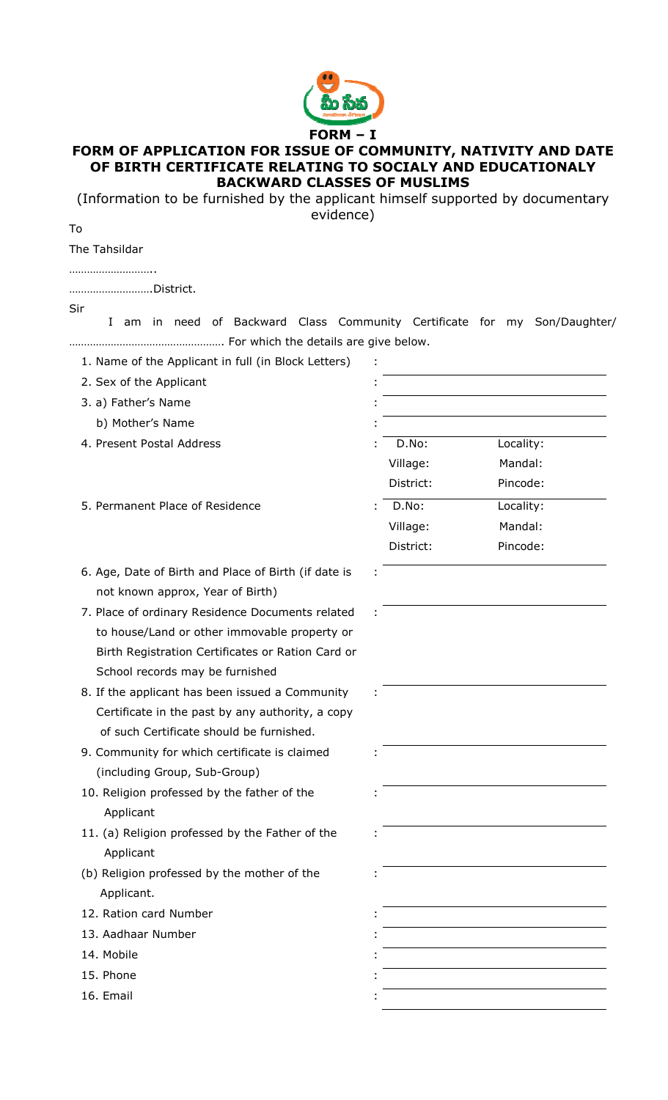

## FORM OF APPLICATION FOR ISSUE OF COMMUNITY, NATIVITY AND DATE OF BIRTH CERTIFICATE RELATING TO SOCIALY AND EDUCATIONALY BACKWARD CLASSES OF MUSLIMS

(Information to be furnished by the applicant himself supported by documentary evidence)

To

The Tahsildar ……………………………

……………………….District.

Sir

I am in need of Backward Class Community Certificate for my Son/Daughter/ ……………………………………………. For which the details are give below.

:

:

:

:

:

:

:

- 1. Name of the Applicant in full (in Block Letters)
- 2. Sex of the Applicant
- 3. a) Father's Name
	- b) Mother's Name
- 4. Present Postal Address
- 5. Permanent Place of Residence

| ÷ |           |           |
|---|-----------|-----------|
| I |           |           |
|   |           |           |
|   | D.No:     | Locality: |
|   | Village:  | Mandal:   |
|   | District: | Pincode:  |
|   | D.No:     | Locality: |
|   | Village:  | Mandal:   |
|   | District: | Pincode:  |
|   |           |           |

- 6. Age, Date of Birth and Place of Birth (if date is not known approx, Year of Birth)
- 7. Place of ordinary Residence Documents related to house/Land or other immovable property or Birth Registration Certificates or Ration Card or School records may be furnished
- 8. If the applicant has been issued a Community Certificate in the past by any authority, a copy of such Certificate should be furnished.
- 9. Community for which certificate is claimed (including Group, Sub-Group)
- 10. Religion professed by the father of the Applicant
- 11. (a) Religion professed by the Father of the Applicant
- (b) Religion professed by the mother of the Applicant.
- 12. Ration card Number
- 13. Aadhaar Number :
- 14. Mobile :
- 15. Phone
- 16. Email